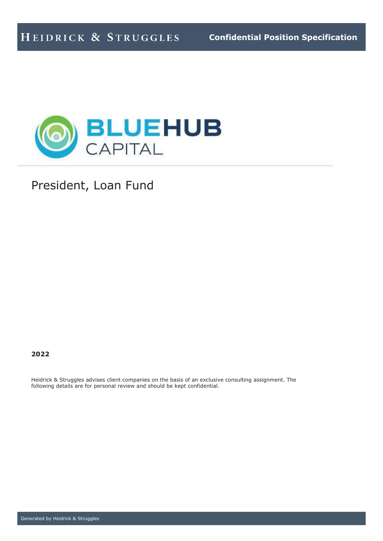

President, Loan Fund

## **2022**

Heidrick & Struggles advises client companies on the basis of an exclusive consulting assignment. The following details are for personal review and should be kept confidential.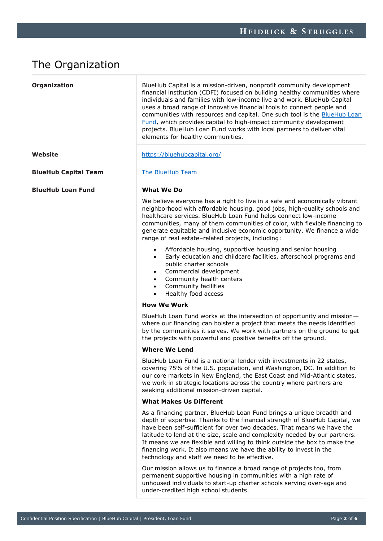# The Organization

| Organization                | BlueHub Capital is a mission-driven, nonprofit community development<br>financial institution (CDFI) focused on building healthy communities where<br>individuals and families with low-income live and work. BlueHub Capital<br>uses a broad range of innovative financial tools to connect people and<br>communities with resources and capital. One such tool is the <b>BlueHub Loan</b><br>Fund, which provides capital to high-impact community development<br>projects. BlueHub Loan Fund works with local partners to deliver vital<br>elements for healthy communities. |
|-----------------------------|---------------------------------------------------------------------------------------------------------------------------------------------------------------------------------------------------------------------------------------------------------------------------------------------------------------------------------------------------------------------------------------------------------------------------------------------------------------------------------------------------------------------------------------------------------------------------------|
| Website                     | https://bluehubcapital.org/                                                                                                                                                                                                                                                                                                                                                                                                                                                                                                                                                     |
| <b>BlueHub Capital Team</b> | The BlueHub Team                                                                                                                                                                                                                                                                                                                                                                                                                                                                                                                                                                |
| <b>BlueHub Loan Fund</b>    | What We Do                                                                                                                                                                                                                                                                                                                                                                                                                                                                                                                                                                      |
|                             | We believe everyone has a right to live in a safe and economically vibrant<br>neighborhood with affordable housing, good jobs, high-quality schools and<br>healthcare services. BlueHub Loan Fund helps connect low-income<br>communities, many of them communities of color, with flexible financing to<br>generate equitable and inclusive economic opportunity. We finance a wide<br>range of real estate-related projects, including:                                                                                                                                       |
|                             | Affordable housing, supportive housing and senior housing<br>$\bullet$<br>Early education and childcare facilities, afterschool programs and<br>$\bullet$<br>public charter schools<br>Commercial development<br>$\bullet$<br>Community health centers<br>$\bullet$<br>Community facilities<br>$\bullet$<br>Healthy food access<br>$\bullet$                                                                                                                                                                                                                                    |
|                             | <b>How We Work</b>                                                                                                                                                                                                                                                                                                                                                                                                                                                                                                                                                              |
|                             | BlueHub Loan Fund works at the intersection of opportunity and mission-<br>where our financing can bolster a project that meets the needs identified<br>by the communities it serves. We work with partners on the ground to get<br>the projects with powerful and positive benefits off the ground.                                                                                                                                                                                                                                                                            |
|                             | <b>Where We Lend</b>                                                                                                                                                                                                                                                                                                                                                                                                                                                                                                                                                            |
|                             | BlueHub Loan Fund is a national lender with investments in 22 states,<br>covering 75% of the U.S. population, and Washington, DC. In addition to<br>our core markets in New England, the East Coast and Mid-Atlantic states,<br>we work in strategic locations across the country where partners are<br>seeking additional mission-driven capital.                                                                                                                                                                                                                              |
|                             | <b>What Makes Us Different</b>                                                                                                                                                                                                                                                                                                                                                                                                                                                                                                                                                  |
|                             | As a financing partner, BlueHub Loan Fund brings a unique breadth and<br>depth of expertise. Thanks to the financial strength of BlueHub Capital, we<br>have been self-sufficient for over two decades. That means we have the<br>latitude to lend at the size, scale and complexity needed by our partners.<br>It means we are flexible and willing to think outside the box to make the<br>financing work. It also means we have the ability to invest in the<br>technology and staff we need to be effective.                                                                |
|                             | Our mission allows us to finance a broad range of projects too, from<br>permanent supportive housing in communities with a high rate of<br>unhoused individuals to start-up charter schools serving over-age and<br>under-credited high school students.                                                                                                                                                                                                                                                                                                                        |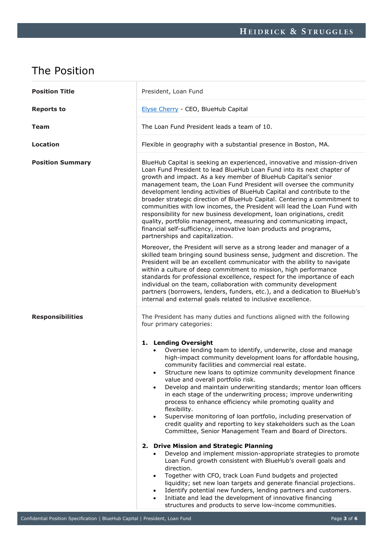# The Position

| <b>Position Title</b>   | President, Loan Fund                                                                                                                                                                                                                                                                                                                                                                                                                                                                                                                                                                                                                                                                                                                                                                      |
|-------------------------|-------------------------------------------------------------------------------------------------------------------------------------------------------------------------------------------------------------------------------------------------------------------------------------------------------------------------------------------------------------------------------------------------------------------------------------------------------------------------------------------------------------------------------------------------------------------------------------------------------------------------------------------------------------------------------------------------------------------------------------------------------------------------------------------|
| <b>Reports to</b>       | Elyse Cherry - CEO, BlueHub Capital                                                                                                                                                                                                                                                                                                                                                                                                                                                                                                                                                                                                                                                                                                                                                       |
| <b>Team</b>             | The Loan Fund President leads a team of 10.                                                                                                                                                                                                                                                                                                                                                                                                                                                                                                                                                                                                                                                                                                                                               |
| Location                | Flexible in geography with a substantial presence in Boston, MA.                                                                                                                                                                                                                                                                                                                                                                                                                                                                                                                                                                                                                                                                                                                          |
| <b>Position Summary</b> | BlueHub Capital is seeking an experienced, innovative and mission-driven<br>Loan Fund President to lead BlueHub Loan Fund into its next chapter of<br>growth and impact. As a key member of BlueHub Capital's senior<br>management team, the Loan Fund President will oversee the community<br>development lending activities of BlueHub Capital and contribute to the<br>broader strategic direction of BlueHub Capital. Centering a commitment to<br>communities with low incomes, the President will lead the Loan Fund with<br>responsibility for new business development, loan originations, credit<br>quality, portfolio management, measuring and communicating impact,<br>financial self-sufficiency, innovative loan products and programs,<br>partnerships and capitalization. |
|                         | Moreover, the President will serve as a strong leader and manager of a<br>skilled team bringing sound business sense, judgment and discretion. The<br>President will be an excellent communicator with the ability to navigate<br>within a culture of deep commitment to mission, high performance<br>standards for professional excellence, respect for the importance of each<br>individual on the team, collaboration with community development<br>partners (borrowers, lenders, funders, etc.), and a dedication to BlueHub's<br>internal and external goals related to inclusive excellence.                                                                                                                                                                                        |
| <b>Responsibilities</b> | The President has many duties and functions aligned with the following<br>four primary categories:                                                                                                                                                                                                                                                                                                                                                                                                                                                                                                                                                                                                                                                                                        |
|                         | 1. Lending Oversight<br>Oversee lending team to identify, underwrite, close and manage<br>high-impact community development loans for affordable housing,<br>community facilities and commercial real estate.<br>Structure new loans to optimize community development finance<br>value and overall portfolio risk.<br>Develop and maintain underwriting standards; mentor loan officers<br>$\bullet$<br>in each stage of the underwriting process; improve underwriting<br>process to enhance efficiency while promoting quality and<br>flexibility.<br>Supervise monitoring of loan portfolio, including preservation of<br>$\bullet$<br>credit quality and reporting to key stakeholders such as the Loan<br>Committee, Senior Management Team and Board of Directors.                 |
|                         | 2. Drive Mission and Strategic Planning<br>Develop and implement mission-appropriate strategies to promote<br>$\bullet$<br>Loan Fund growth consistent with BlueHub's overall goals and<br>direction.<br>Together with CFO, track Loan Fund budgets and projected<br>$\bullet$<br>liquidity; set new loan targets and generate financial projections.<br>Identify potential new funders, lending partners and customers.<br>$\bullet$<br>Initiate and lead the development of innovative financing<br>structures and products to serve low-income communities.                                                                                                                                                                                                                            |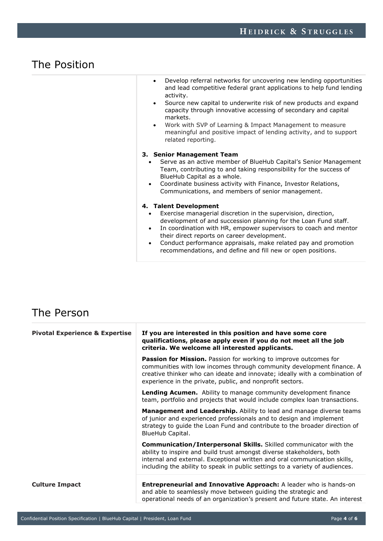# The Position

| Develop referral networks for uncovering new lending opportunities   |
|----------------------------------------------------------------------|
| and lead competitive federal grant applications to help fund lending |
| activity.                                                            |

- Source new capital to underwrite risk of new products and expand capacity through innovative accessing of secondary and capital markets.
- Work with SVP of Learning & Impact Management to measure meaningful and positive impact of lending activity, and to support related reporting.

#### **3. Senior Management Team**

- Serve as an active member of BlueHub Capital's Senior Management Team, contributing to and taking responsibility for the success of BlueHub Capital as a whole.
- Coordinate business activity with Finance, Investor Relations, Communications, and members of senior management.

#### **4. Talent Development**

- Exercise managerial discretion in the supervision, direction, development of and succession planning for the Loan Fund staff.
- In coordination with HR, empower supervisors to coach and mentor their direct reports on career development.
- Conduct performance appraisals, make related pay and promotion recommendations, and define and fill new or open positions.

# The Person

| <b>Pivotal Experience &amp; Expertise</b> | If you are interested in this position and have some core<br>qualifications, please apply even if you do not meet all the job<br>criteria. We welcome all interested applicants.                                                                                                                        |
|-------------------------------------------|---------------------------------------------------------------------------------------------------------------------------------------------------------------------------------------------------------------------------------------------------------------------------------------------------------|
|                                           | <b>Passion for Mission.</b> Passion for working to improve outcomes for<br>communities with low incomes through community development finance. A<br>creative thinker who can ideate and innovate; ideally with a combination of<br>experience in the private, public, and nonprofit sectors.            |
|                                           | Lending Acumen. Ability to manage community development finance<br>team, portfolio and projects that would include complex loan transactions.                                                                                                                                                           |
|                                           | <b>Management and Leadership.</b> Ability to lead and manage diverse teams<br>of junior and experienced professionals and to design and implement<br>strategy to guide the Loan Fund and contribute to the broader direction of<br>BlueHub Capital.                                                     |
|                                           | Communication/Interpersonal Skills. Skilled communicator with the<br>ability to inspire and build trust amongst diverse stakeholders, both<br>internal and external. Exceptional written and oral communication skills,<br>including the ability to speak in public settings to a variety of audiences. |
| <b>Culture Impact</b>                     | <b>Entrepreneurial and Innovative Approach:</b> A leader who is hands-on<br>and able to seamlessly move between guiding the strategic and<br>operational needs of an organization's present and future state. An interest                                                                               |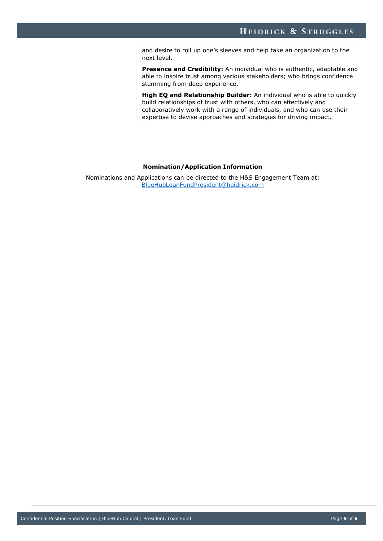and desire to roll up one's sleeves and help take an organization to the next level.

**Presence and Credibility:** An individual who is authentic, adaptable and able to inspire trust among various stakeholders; who brings confidence stemming from deep experience.

**High EQ and Relationship Builder:** An individual who is able to quickly build relationships of trust with others, who can effectively and collaboratively work with a range of individuals, and who can use their expertise to devise approaches and strategies for driving impact.

#### **Nomination/Application Information**

Nominations and Applications can be directed to the H&S Engagement Team at: [BlueHubLoanFundPresident@heidrick.com](mailto:BlueHubLoanFundPresident@heidrick.com)